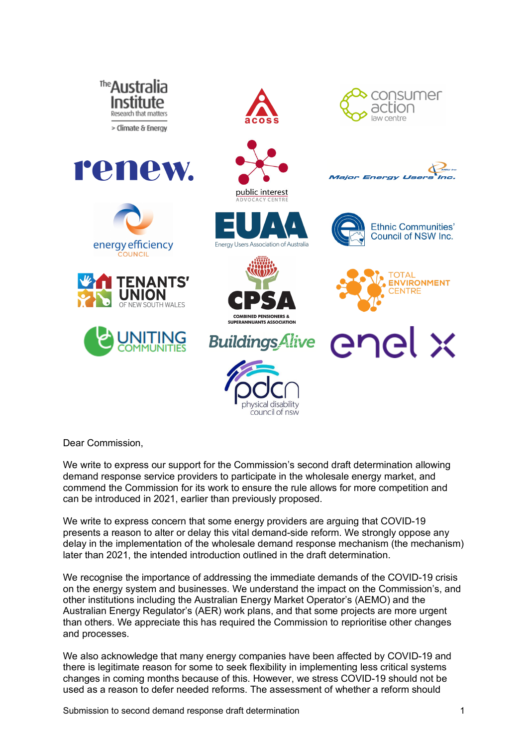

Dear Commission,

We write to express our support for the Commission's second draft determination allowing demand response service providers to participate in the wholesale energy market, and commend the Commission for its work to ensure the rule allows for more competition and can be introduced in 2021, earlier than previously proposed.

We write to express concern that some energy providers are arguing that COVID-19 presents a reason to alter or delay this vital demand-side reform. We strongly oppose any delay in the implementation of the wholesale demand response mechanism (the mechanism) later than 2021, the intended introduction outlined in the draft determination.

We recognise the importance of addressing the immediate demands of the COVID-19 crisis on the energy system and businesses. We understand the impact on the Commission's, and other institutions including the Australian Energy Market Operator's (AEMO) and the Australian Energy Regulator's (AER) work plans, and that some projects are more urgent than others. We appreciate this has required the Commission to reprioritise other changes and processes.

We also acknowledge that many energy companies have been affected by COVID-19 and there is legitimate reason for some to seek flexibility in implementing less critical systems changes in coming months because of this. However, we stress COVID-19 should not be used as a reason to defer needed reforms. The assessment of whether a reform should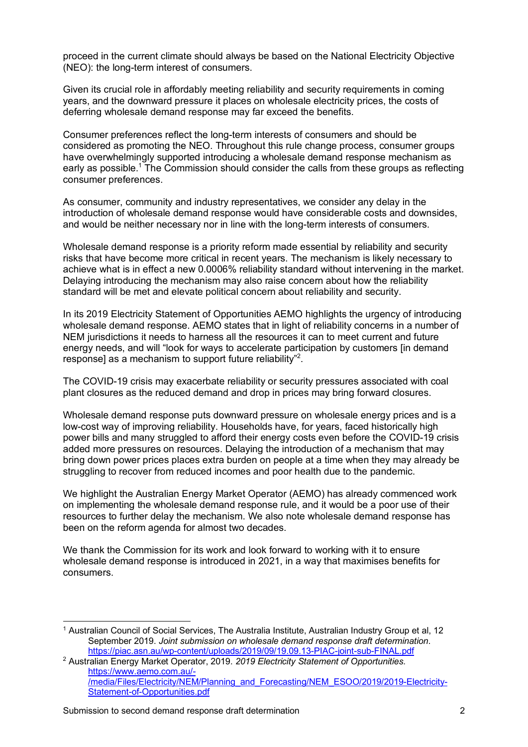proceed in the current climate should always be based on the National Electricity Objective (NEO): the long-term interest of consumers.

Given its crucial role in affordably meeting reliability and security requirements in coming years, and the downward pressure it places on wholesale electricity prices, the costs of deferring wholesale demand response may far exceed the benefits.

Consumer preferences reflect the long-term interests of consumers and should be considered as promoting the NEO. Throughout this rule change process, consumer groups have overwhelmingly supported introducing a wholesale demand response mechanism as early as possible.<sup>1</sup> The Commission should consider the calls from these groups as reflecting consumer preferences.

As consumer, community and industry representatives, we consider any delay in the introduction of wholesale demand response would have considerable costs and downsides, and would be neither necessary nor in line with the long-term interests of consumers.

Wholesale demand response is a priority reform made essential by reliability and security risks that have become more critical in recent years. The mechanism is likely necessary to achieve what is in effect a new 0.0006% reliability standard without intervening in the market. Delaying introducing the mechanism may also raise concern about how the reliability standard will be met and elevate political concern about reliability and security.

In its 2019 Electricity Statement of Opportunities AEMO highlights the urgency of introducing wholesale demand response. AEMO states that in light of reliability concerns in a number of NEM jurisdictions it needs to harness all the resources it can to meet current and future energy needs, and will "look for ways to accelerate participation by customers [in demand response] as a mechanism to support future reliability"<sup>2</sup>.

The COVID-19 crisis may exacerbate reliability or security pressures associated with coal plant closures as the reduced demand and drop in prices may bring forward closures.

Wholesale demand response puts downward pressure on wholesale energy prices and is a low-cost way of improving reliability. Households have, for years, faced historically high power bills and many struggled to afford their energy costs even before the COVID-19 crisis added more pressures on resources. Delaying the introduction of a mechanism that may bring down power prices places extra burden on people at a time when they may already be struggling to recover from reduced incomes and poor health due to the pandemic.

We highlight the Australian Energy Market Operator (AEMO) has already commenced work on implementing the wholesale demand response rule, and it would be a poor use of their resources to further delay the mechanism. We also note wholesale demand response has been on the reform agenda for almost two decades.

We thank the Commission for its work and look forward to working with it to ensure wholesale demand response is introduced in 2021, in a way that maximises benefits for consumers.

 <sup>1</sup> Australian Council of Social Services, The Australia Institute, Australian Industry Group et al, 12 September 2019. *Joint submission on wholesale demand response draft determination*. https://piac.asn.au/wp-content/uploads/2019/09/19.09.13-PIAC-joint-sub-FINAL.pdf

<sup>2</sup> Australian Energy Market Operator, 2019. *2019 Electricity Statement of Opportunities.* https://www.aemo.com.au/- /media/Files/Electricity/NEM/Planning\_and\_Forecasting/NEM\_ESOO/2019/2019-Electricity-Statement-of-Opportunities.pdf